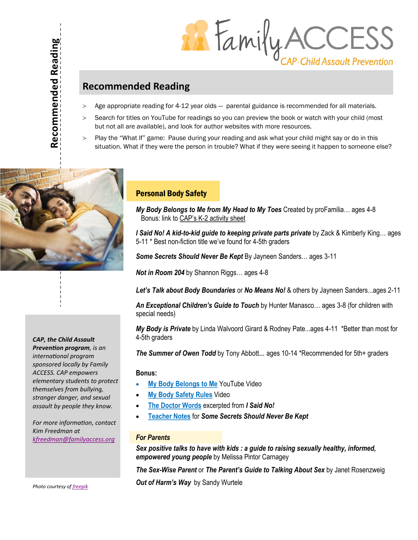Recommended Reading **Recommended Reading**

**READELY ACCESS** 

# **Recommended Reading**

- Age appropriate reading for 4-12 year olds parental guidance is recommended for all materials.
- > Search for titles on YouTube for readings so you can preview the book or watch with your child (most but not all are available), and look for author websites with more resources.
- Play the "What If" game: Pause during your reading and ask what your child might say or do in this situation. What if they were the person in trouble? What if they were seeing it happen to someone else?



# *CAP, the Child Assault*

*Prevention program, is an international program sponsored locally by Family ACCESS. CAP empowers elementary students to protect themselves from bullying, stranger danger, and sexual assault by people they know.* 

*For more information, contact Kim Freedman at [kfreedman@familyaccess.org](mailto:kfreedman@familyaccess.org)*

# Personal Body Safety

*My Body Belongs to Me from My Head to My Toes* Created by proFamilia… ages 4-8 Bonus: link to CAP's K-2 activity sheet

*I Said No! A kid-to-kid guide to keeping private parts private* by Zack & Kimberly King... ages 5-11 \* Best non-fiction title we've found for 4-5th graders

*Some Secrets Should Never Be Kept* By Jayneen Sanders… ages 3-11

*Not in Room 204* by Shannon Riggs… ages 4-8

*Let's Talk about Body Boundaries* or *No Means No!* & others by Jayneen Sanders...ages 2-11

*An Exceptional Children's Guide to Touch* by Hunter Manasco… ages 3-8 (for children with special needs)

*My Body is Private* by Linda Walvoord Girard & Rodney Pate...ages 4-11 \*Better than most for 4-5th graders

*The Summer of Owen Todd* by Tony Abbott… ages 10-14 \*Recommended for 5th+ graders

### **Bonus:**

- **[My Body Belongs to Me](https://www.youtube.com/watch?v=a-5mdt9YN6I&ab_channel=CultureOfSilenceFilm)** YouTube Video
- **[My Body Safety Rules](https://www.facebook.com/SomeSecretsShouldNeverBeKept/videos/1816398551718529)** Video
- **[The Doctor Words](https://isaidno.info/doctor-words/)** excerpted from *I Said No!*
- **[Teacher Notes](https://static.squarespace.com/static/50769910e4b07864e5d07147/t/52db5a11e4b023b674f899d3/1390107153786/SS_BLMs-US_letter.pdf)** for *Some Secrets Should Never Be Kept*

#### *For Parents*

*Sex positive talks to have with kids : a guide to raising sexually healthy, informed, empowered young people* by Melissa Pintor Carnagey

*The Sex-Wise Parent* or *The Parent's Guide to Talking About Sex* by Janet Rosenzweig

*Out of Harm's Way* by Sandy Wurtele

*Photo courtesy of [freepik](https://www.freepik.com/photos/technology)*